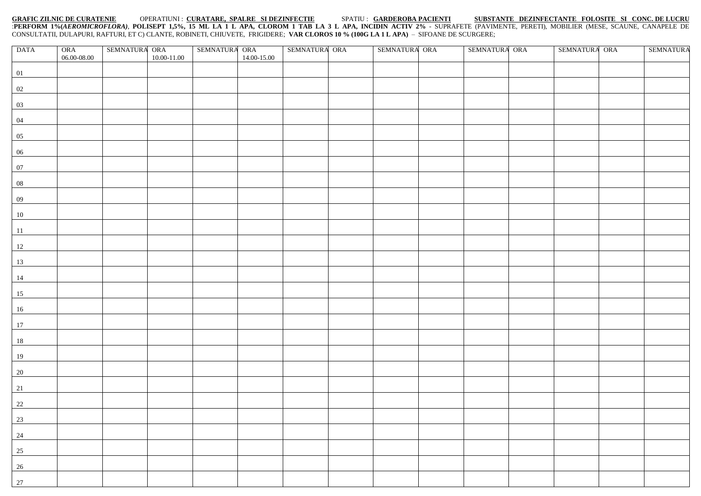## **GRAFIC ZILNIC DE CURATENIE** OPERATIUNI : **CURATARE, SPALRE SI DEZINFECTIE** SPATIU : **GARDEROBA PACIENTI SUBSTANTE DEZINFECTANTE FOLOSITE SI CONC. DE LUCRU** :**PERFORM 1%(***AEROMICROFLORA)*, **POLISEPT 1,5%, 15 ML LA 1 L APA, CLOROM 1 TAB LA 3 L APA, INCIDIN ACTIV 2%** - SUPRAFETE (PAVIMENTE, PERETI), MOBILIER (MESE, SCAUNE, CANAPELE DE CONSULTATII, DULAPURI, RAFTURI, ET C) CLANTE, ROBINETI, CHIUVETE, FRIGIDERE; **VAR CLOROS 10 % (100G LA 1 L APA)** – SIFOANE DE SCURGERE;

| <b>DATA</b>  | ORA         | SEMNATURA ORA |             | SEMNATURA ORA<br>14.00-15.00 |  | SEMNATURA ORA |  | SEMNATURA ORA |  | SEMNATURA ORA |  | SEMNATURA ORA |  | <b>SEMNATURA</b> |
|--------------|-------------|---------------|-------------|------------------------------|--|---------------|--|---------------|--|---------------|--|---------------|--|------------------|
|              | 06.00-08.00 |               | 10.00-11.00 |                              |  |               |  |               |  |               |  |               |  |                  |
| 01           |             |               |             |                              |  |               |  |               |  |               |  |               |  |                  |
|              |             |               |             |                              |  |               |  |               |  |               |  |               |  |                  |
| 02           |             |               |             |                              |  |               |  |               |  |               |  |               |  |                  |
| 03           |             |               |             |                              |  |               |  |               |  |               |  |               |  |                  |
| 04           |             |               |             |                              |  |               |  |               |  |               |  |               |  |                  |
| 05           |             |               |             |                              |  |               |  |               |  |               |  |               |  |                  |
| 06           |             |               |             |                              |  |               |  |               |  |               |  |               |  |                  |
| 07           |             |               |             |                              |  |               |  |               |  |               |  |               |  |                  |
| 08           |             |               |             |                              |  |               |  |               |  |               |  |               |  |                  |
| 09           |             |               |             |                              |  |               |  |               |  |               |  |               |  |                  |
| 10           |             |               |             |                              |  |               |  |               |  |               |  |               |  |                  |
| 11           |             |               |             |                              |  |               |  |               |  |               |  |               |  |                  |
| 12           |             |               |             |                              |  |               |  |               |  |               |  |               |  |                  |
| 13           |             |               |             |                              |  |               |  |               |  |               |  |               |  |                  |
| 14           |             |               |             |                              |  |               |  |               |  |               |  |               |  |                  |
| 15           |             |               |             |                              |  |               |  |               |  |               |  |               |  |                  |
| 16           |             |               |             |                              |  |               |  |               |  |               |  |               |  |                  |
| 17           |             |               |             |                              |  |               |  |               |  |               |  |               |  |                  |
| 18           |             |               |             |                              |  |               |  |               |  |               |  |               |  |                  |
| 19           |             |               |             |                              |  |               |  |               |  |               |  |               |  |                  |
| 20           |             |               |             |                              |  |               |  |               |  |               |  |               |  |                  |
| 21           |             |               |             |                              |  |               |  |               |  |               |  |               |  |                  |
| 22           |             |               |             |                              |  |               |  |               |  |               |  |               |  |                  |
| $\boxed{23}$ |             |               |             |                              |  |               |  |               |  |               |  |               |  |                  |
| 24           |             |               |             |                              |  |               |  |               |  |               |  |               |  |                  |
| 25           |             |               |             |                              |  |               |  |               |  |               |  |               |  |                  |
| 26           |             |               |             |                              |  |               |  |               |  |               |  |               |  |                  |
| 27           |             |               |             |                              |  |               |  |               |  |               |  |               |  |                  |